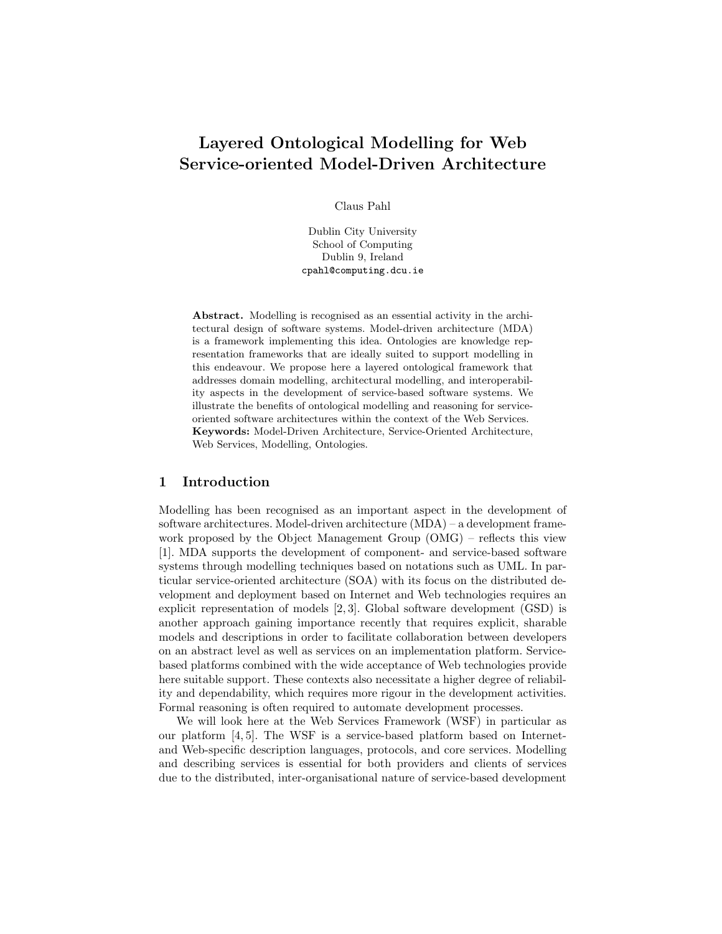# Layered Ontological Modelling for Web Service-oriented Model-Driven Architecture

Claus Pahl

Dublin City University School of Computing Dublin 9, Ireland cpahl@computing.dcu.ie

Abstract. Modelling is recognised as an essential activity in the architectural design of software systems. Model-driven architecture (MDA) is a framework implementing this idea. Ontologies are knowledge representation frameworks that are ideally suited to support modelling in this endeavour. We propose here a layered ontological framework that addresses domain modelling, architectural modelling, and interoperability aspects in the development of service-based software systems. We illustrate the benefits of ontological modelling and reasoning for serviceoriented software architectures within the context of the Web Services. Keywords: Model-Driven Architecture, Service-Oriented Architecture, Web Services, Modelling, Ontologies.

### 1 Introduction

Modelling has been recognised as an important aspect in the development of software architectures. Model-driven architecture (MDA) – a development framework proposed by the Object Management Group (OMG) – reflects this view [1]. MDA supports the development of component- and service-based software systems through modelling techniques based on notations such as UML. In particular service-oriented architecture (SOA) with its focus on the distributed development and deployment based on Internet and Web technologies requires an explicit representation of models [2, 3]. Global software development (GSD) is another approach gaining importance recently that requires explicit, sharable models and descriptions in order to facilitate collaboration between developers on an abstract level as well as services on an implementation platform. Servicebased platforms combined with the wide acceptance of Web technologies provide here suitable support. These contexts also necessitate a higher degree of reliability and dependability, which requires more rigour in the development activities. Formal reasoning is often required to automate development processes.

We will look here at the Web Services Framework (WSF) in particular as our platform [4, 5]. The WSF is a service-based platform based on Internetand Web-specific description languages, protocols, and core services. Modelling and describing services is essential for both providers and clients of services due to the distributed, inter-organisational nature of service-based development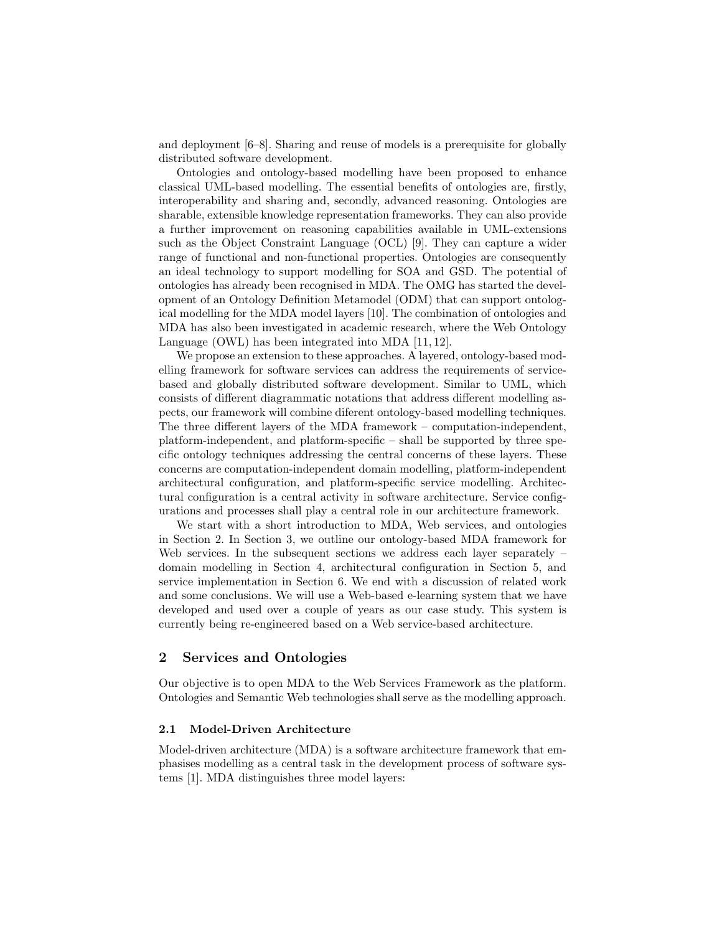and deployment [6–8]. Sharing and reuse of models is a prerequisite for globally distributed software development.

Ontologies and ontology-based modelling have been proposed to enhance classical UML-based modelling. The essential benefits of ontologies are, firstly, interoperability and sharing and, secondly, advanced reasoning. Ontologies are sharable, extensible knowledge representation frameworks. They can also provide a further improvement on reasoning capabilities available in UML-extensions such as the Object Constraint Language (OCL) [9]. They can capture a wider range of functional and non-functional properties. Ontologies are consequently an ideal technology to support modelling for SOA and GSD. The potential of ontologies has already been recognised in MDA. The OMG has started the development of an Ontology Definition Metamodel (ODM) that can support ontological modelling for the MDA model layers [10]. The combination of ontologies and MDA has also been investigated in academic research, where the Web Ontology Language (OWL) has been integrated into MDA [11, 12].

We propose an extension to these approaches. A layered, ontology-based modelling framework for software services can address the requirements of servicebased and globally distributed software development. Similar to UML, which consists of different diagrammatic notations that address different modelling aspects, our framework will combine diferent ontology-based modelling techniques. The three different layers of the MDA framework – computation-independent, platform-independent, and platform-specific – shall be supported by three specific ontology techniques addressing the central concerns of these layers. These concerns are computation-independent domain modelling, platform-independent architectural configuration, and platform-specific service modelling. Architectural configuration is a central activity in software architecture. Service configurations and processes shall play a central role in our architecture framework.

We start with a short introduction to MDA, Web services, and ontologies in Section 2. In Section 3, we outline our ontology-based MDA framework for Web services. In the subsequent sections we address each layer separately – domain modelling in Section 4, architectural configuration in Section 5, and service implementation in Section 6. We end with a discussion of related work and some conclusions. We will use a Web-based e-learning system that we have developed and used over a couple of years as our case study. This system is currently being re-engineered based on a Web service-based architecture.

## 2 Services and Ontologies

Our objective is to open MDA to the Web Services Framework as the platform. Ontologies and Semantic Web technologies shall serve as the modelling approach.

#### 2.1 Model-Driven Architecture

Model-driven architecture (MDA) is a software architecture framework that emphasises modelling as a central task in the development process of software systems [1]. MDA distinguishes three model layers: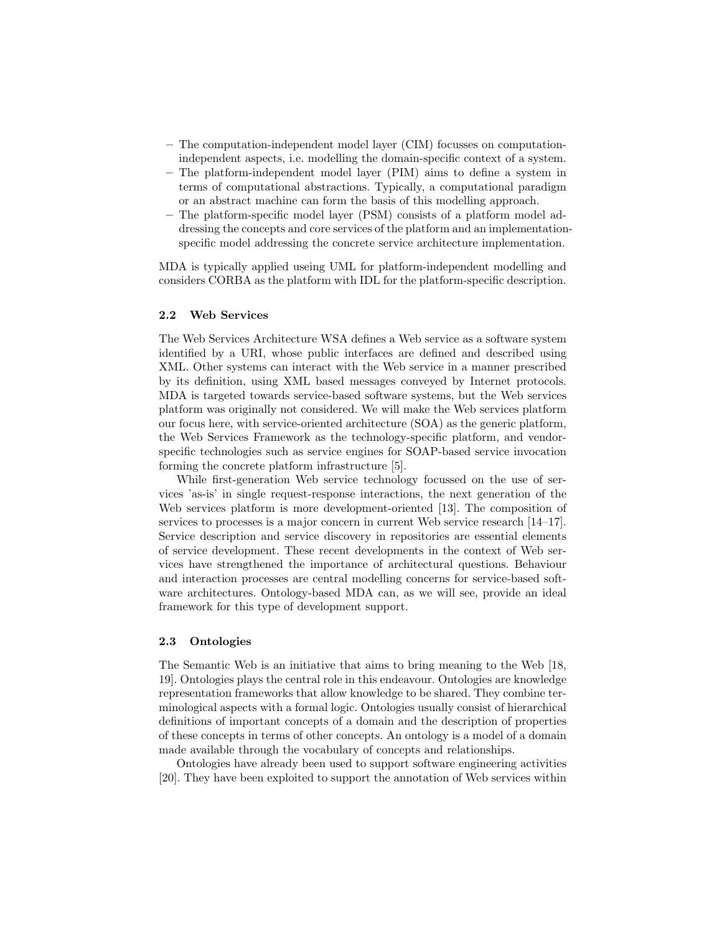- The computation-independent model layer (CIM) focusses on computationindependent aspects, i.e. modelling the domain-specific context of a system.
- The platform-independent model layer (PIM) aims to define a system in terms of computational abstractions. Typically, a computational paradigm or an abstract machine can form the basis of this modelling approach.
- The platform-specific model layer (PSM) consists of a platform model addressing the concepts and core services of the platform and an implementationspecific model addressing the concrete service architecture implementation.

MDA is typically applied useing UML for platform-independent modelling and considers CORBA as the platform with IDL for the platform-specific description.

#### 2.2 Web Services

The Web Services Architecture WSA defines a Web service as a software system identified by a URI, whose public interfaces are defined and described using XML. Other systems can interact with the Web service in a manner prescribed by its definition, using XML based messages conveyed by Internet protocols. MDA is targeted towards service-based software systems, but the Web services platform was originally not considered. We will make the Web services platform our focus here, with service-oriented architecture (SOA) as the generic platform, the Web Services Framework as the technology-specific platform, and vendorspecific technologies such as service engines for SOAP-based service invocation forming the concrete platform infrastructure [5].

While first-generation Web service technology focussed on the use of services 'as-is' in single request-response interactions, the next generation of the Web services platform is more development-oriented [13]. The composition of services to processes is a major concern in current Web service research [14–17]. Service description and service discovery in repositories are essential elements of service development. These recent developments in the context of Web services have strengthened the importance of architectural questions. Behaviour and interaction processes are central modelling concerns for service-based software architectures. Ontology-based MDA can, as we will see, provide an ideal framework for this type of development support.

#### 2.3 Ontologies

The Semantic Web is an initiative that aims to bring meaning to the Web [18, 19]. Ontologies plays the central role in this endeavour. Ontologies are knowledge representation frameworks that allow knowledge to be shared. They combine terminological aspects with a formal logic. Ontologies usually consist of hierarchical definitions of important concepts of a domain and the description of properties of these concepts in terms of other concepts. An ontology is a model of a domain made available through the vocabulary of concepts and relationships.

Ontologies have already been used to support software engineering activities [20]. They have been exploited to support the annotation of Web services within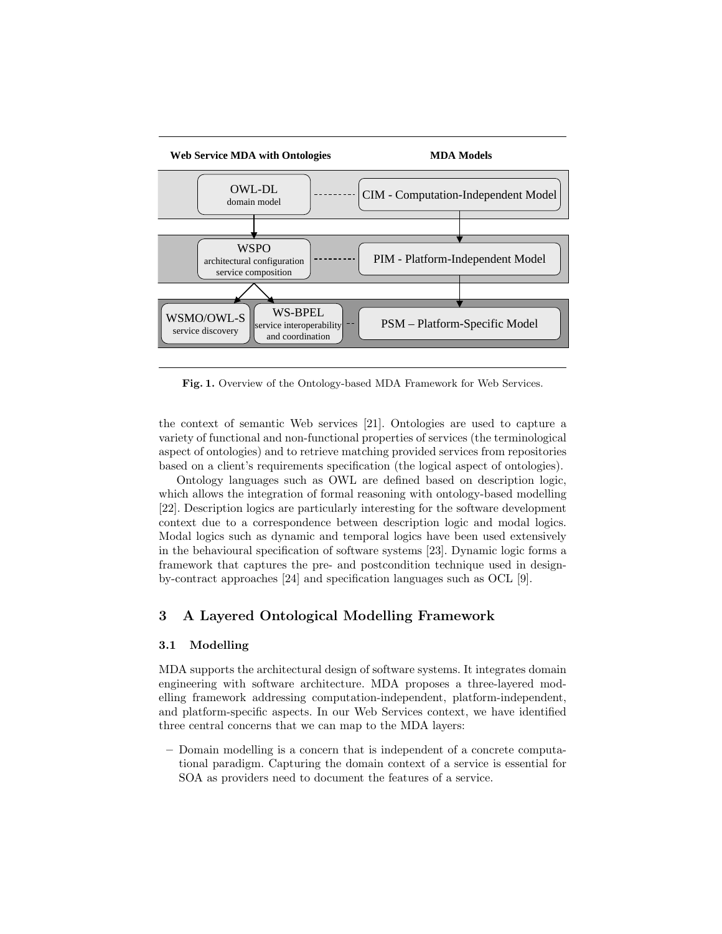

Fig. 1. Overview of the Ontology-based MDA Framework for Web Services.

the context of semantic Web services [21]. Ontologies are used to capture a variety of functional and non-functional properties of services (the terminological aspect of ontologies) and to retrieve matching provided services from repositories based on a client's requirements specification (the logical aspect of ontologies).

Ontology languages such as OWL are defined based on description logic, which allows the integration of formal reasoning with ontology-based modelling [22]. Description logics are particularly interesting for the software development context due to a correspondence between description logic and modal logics. Modal logics such as dynamic and temporal logics have been used extensively in the behavioural specification of software systems [23]. Dynamic logic forms a framework that captures the pre- and postcondition technique used in designby-contract approaches [24] and specification languages such as OCL [9].

## 3 A Layered Ontological Modelling Framework

#### 3.1 Modelling

MDA supports the architectural design of software systems. It integrates domain engineering with software architecture. MDA proposes a three-layered modelling framework addressing computation-independent, platform-independent, and platform-specific aspects. In our Web Services context, we have identified three central concerns that we can map to the MDA layers:

– Domain modelling is a concern that is independent of a concrete computational paradigm. Capturing the domain context of a service is essential for SOA as providers need to document the features of a service.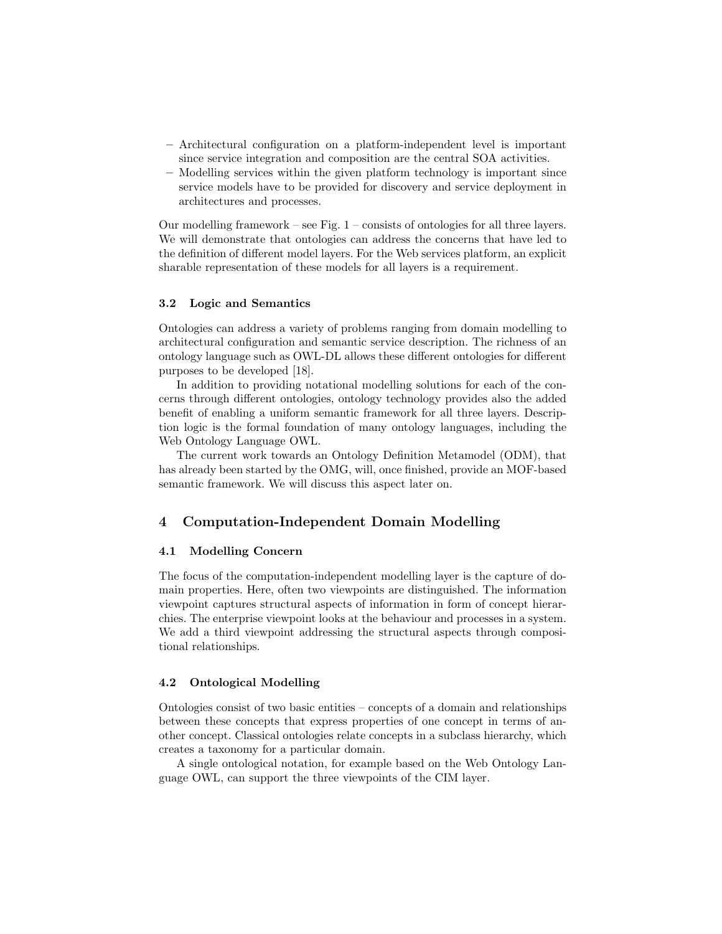- Architectural configuration on a platform-independent level is important since service integration and composition are the central SOA activities.
- Modelling services within the given platform technology is important since service models have to be provided for discovery and service deployment in architectures and processes.

Our modelling framework – see Fig. 1 – consists of ontologies for all three layers. We will demonstrate that ontologies can address the concerns that have led to the definition of different model layers. For the Web services platform, an explicit sharable representation of these models for all layers is a requirement.

#### 3.2 Logic and Semantics

Ontologies can address a variety of problems ranging from domain modelling to architectural configuration and semantic service description. The richness of an ontology language such as OWL-DL allows these different ontologies for different purposes to be developed [18].

In addition to providing notational modelling solutions for each of the concerns through different ontologies, ontology technology provides also the added benefit of enabling a uniform semantic framework for all three layers. Description logic is the formal foundation of many ontology languages, including the Web Ontology Language OWL.

The current work towards an Ontology Definition Metamodel (ODM), that has already been started by the OMG, will, once finished, provide an MOF-based semantic framework. We will discuss this aspect later on.

## 4 Computation-Independent Domain Modelling

#### 4.1 Modelling Concern

The focus of the computation-independent modelling layer is the capture of domain properties. Here, often two viewpoints are distinguished. The information viewpoint captures structural aspects of information in form of concept hierarchies. The enterprise viewpoint looks at the behaviour and processes in a system. We add a third viewpoint addressing the structural aspects through compositional relationships.

### 4.2 Ontological Modelling

Ontologies consist of two basic entities – concepts of a domain and relationships between these concepts that express properties of one concept in terms of another concept. Classical ontologies relate concepts in a subclass hierarchy, which creates a taxonomy for a particular domain.

A single ontological notation, for example based on the Web Ontology Language OWL, can support the three viewpoints of the CIM layer.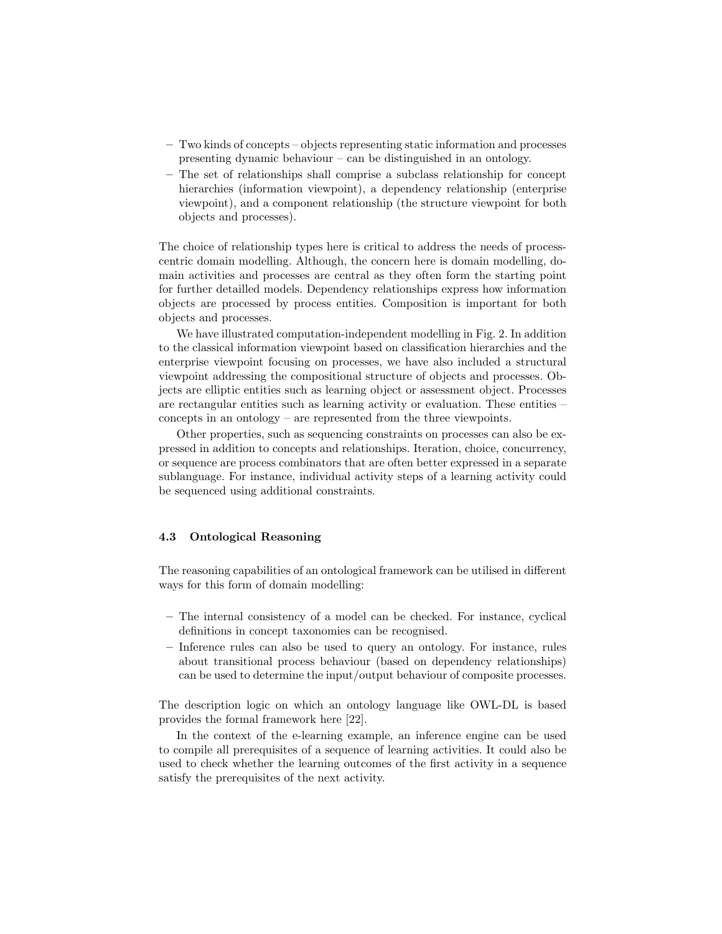- Two kinds of concepts objects representing static information and processes presenting dynamic behaviour – can be distinguished in an ontology.
- The set of relationships shall comprise a subclass relationship for concept hierarchies (information viewpoint), a dependency relationship (enterprise viewpoint), and a component relationship (the structure viewpoint for both objects and processes).

The choice of relationship types here is critical to address the needs of processcentric domain modelling. Although, the concern here is domain modelling, domain activities and processes are central as they often form the starting point for further detailled models. Dependency relationships express how information objects are processed by process entities. Composition is important for both objects and processes.

We have illustrated computation-independent modelling in Fig. 2. In addition to the classical information viewpoint based on classification hierarchies and the enterprise viewpoint focusing on processes, we have also included a structural viewpoint addressing the compositional structure of objects and processes. Objects are elliptic entities such as learning object or assessment object. Processes are rectangular entities such as learning activity or evaluation. These entities – concepts in an ontology – are represented from the three viewpoints.

Other properties, such as sequencing constraints on processes can also be expressed in addition to concepts and relationships. Iteration, choice, concurrency, or sequence are process combinators that are often better expressed in a separate sublanguage. For instance, individual activity steps of a learning activity could be sequenced using additional constraints.

### 4.3 Ontological Reasoning

The reasoning capabilities of an ontological framework can be utilised in different ways for this form of domain modelling:

- The internal consistency of a model can be checked. For instance, cyclical definitions in concept taxonomies can be recognised.
- Inference rules can also be used to query an ontology. For instance, rules about transitional process behaviour (based on dependency relationships) can be used to determine the input/output behaviour of composite processes.

The description logic on which an ontology language like OWL-DL is based provides the formal framework here [22].

In the context of the e-learning example, an inference engine can be used to compile all prerequisites of a sequence of learning activities. It could also be used to check whether the learning outcomes of the first activity in a sequence satisfy the prerequisites of the next activity.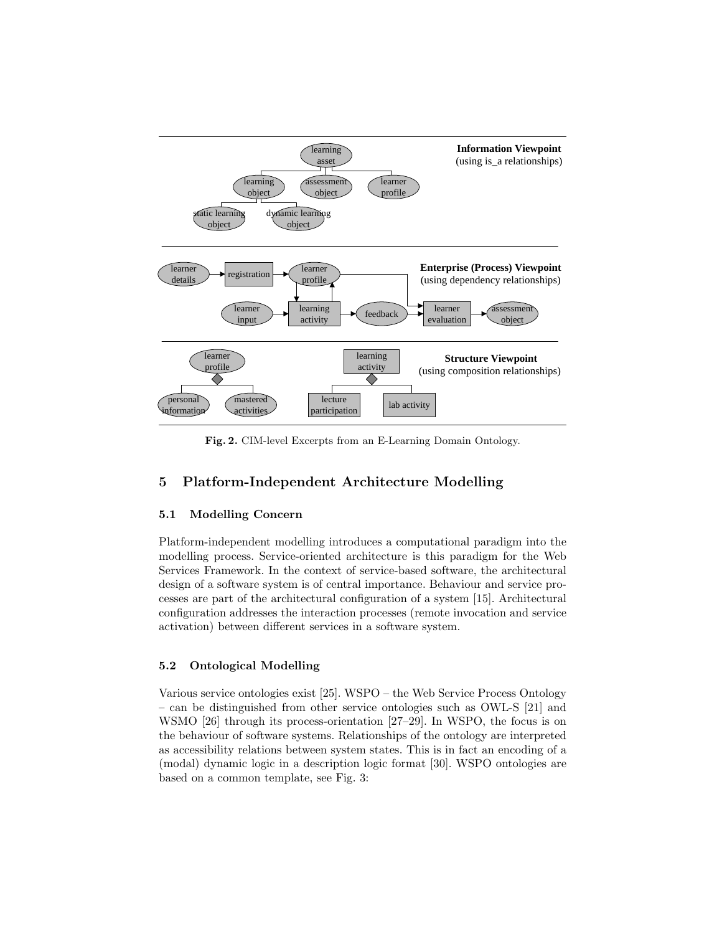

Fig. 2. CIM-level Excerpts from an E-Learning Domain Ontology.

## 5 Platform-Independent Architecture Modelling

#### 5.1 Modelling Concern

Platform-independent modelling introduces a computational paradigm into the modelling process. Service-oriented architecture is this paradigm for the Web Services Framework. In the context of service-based software, the architectural design of a software system is of central importance. Behaviour and service processes are part of the architectural configuration of a system [15]. Architectural configuration addresses the interaction processes (remote invocation and service activation) between different services in a software system.

#### 5.2 Ontological Modelling

Various service ontologies exist [25]. WSPO – the Web Service Process Ontology – can be distinguished from other service ontologies such as OWL-S [21] and WSMO [26] through its process-orientation [27–29]. In WSPO, the focus is on the behaviour of software systems. Relationships of the ontology are interpreted as accessibility relations between system states. This is in fact an encoding of a (modal) dynamic logic in a description logic format [30]. WSPO ontologies are based on a common template, see Fig. 3: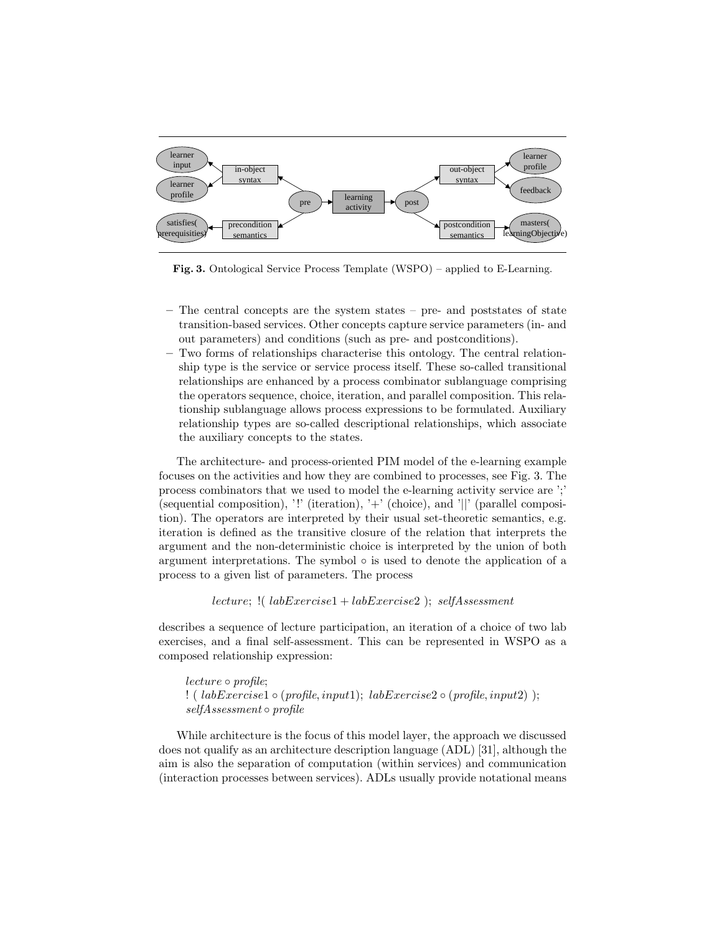

Fig. 3. Ontological Service Process Template (WSPO) – applied to E-Learning.

- The central concepts are the system states pre- and poststates of state transition-based services. Other concepts capture service parameters (in- and out parameters) and conditions (such as pre- and postconditions).
- Two forms of relationships characterise this ontology. The central relationship type is the service or service process itself. These so-called transitional relationships are enhanced by a process combinator sublanguage comprising the operators sequence, choice, iteration, and parallel composition. This relationship sublanguage allows process expressions to be formulated. Auxiliary relationship types are so-called descriptional relationships, which associate the auxiliary concepts to the states.

The architecture- and process-oriented PIM model of the e-learning example focuses on the activities and how they are combined to processes, see Fig. 3. The process combinators that we used to model the e-learning activity service are ';' (sequential composition),  $'$ !' (iteration),  $'$ +' (choice), and '||' (parallel composition). The operators are interpreted by their usual set-theoretic semantics, e.g. iteration is defined as the transitive closure of the relation that interprets the argument and the non-deterministic choice is interpreted by the union of both argument interpretations. The symbol  $\circ$  is used to denote the application of a process to a given list of parameters. The process

lecture;  $\lvert \langle \text{lab} Exercise1 + \text{lab} Exercise2 \rangle$ ; selfAssessment

describes a sequence of lecture participation, an iteration of a choice of two lab exercises, and a final self-assessment. This can be represented in WSPO as a composed relationship expression:

lecture ◦ profile; ! (  $labExercise1 \circ (profile, input1); labExercise2 \circ (profile, input2)$  ); selfAssessment ◦ profile

While architecture is the focus of this model layer, the approach we discussed does not qualify as an architecture description language (ADL) [31], although the aim is also the separation of computation (within services) and communication (interaction processes between services). ADLs usually provide notational means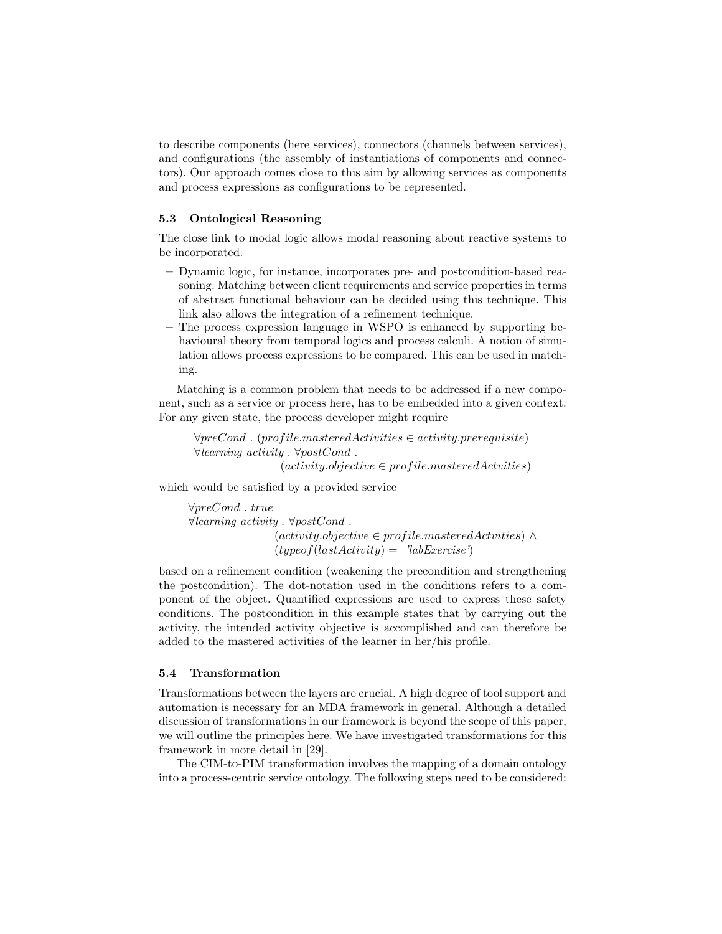to describe components (here services), connectors (channels between services), and configurations (the assembly of instantiations of components and connectors). Our approach comes close to this aim by allowing services as components and process expressions as configurations to be represented.

#### 5.3 Ontological Reasoning

The close link to modal logic allows modal reasoning about reactive systems to be incorporated.

- Dynamic logic, for instance, incorporates pre- and postcondition-based reasoning. Matching between client requirements and service properties in terms of abstract functional behaviour can be decided using this technique. This link also allows the integration of a refinement technique.
- The process expression language in WSPO is enhanced by supporting behavioural theory from temporal logics and process calculi. A notion of simulation allows process expressions to be compared. This can be used in matching.

Matching is a common problem that needs to be addressed if a new component, such as a service or process here, has to be embedded into a given context. For any given state, the process developer might require

```
\forall preCond. (profile.masteredActivities \in activity.prerequisite)
∀learning activity . ∀postCond .
                  (activity. objective \in profile. mastered Activities)
```
which would be satisfied by a provided service

∀preCond . true ∀learning activity . ∀postCond .  $(\textit{activity.objective} \in \textit{profile}.\textit{mastered} \textit{Active}) \land$  $(typeof (lastActivity) = 'labExercise')$ 

based on a refinement condition (weakening the precondition and strengthening the postcondition). The dot-notation used in the conditions refers to a component of the object. Quantified expressions are used to express these safety conditions. The postcondition in this example states that by carrying out the activity, the intended activity objective is accomplished and can therefore be added to the mastered activities of the learner in her/his profile.

## 5.4 Transformation

Transformations between the layers are crucial. A high degree of tool support and automation is necessary for an MDA framework in general. Although a detailed discussion of transformations in our framework is beyond the scope of this paper, we will outline the principles here. We have investigated transformations for this framework in more detail in [29].

The CIM-to-PIM transformation involves the mapping of a domain ontology into a process-centric service ontology. The following steps need to be considered: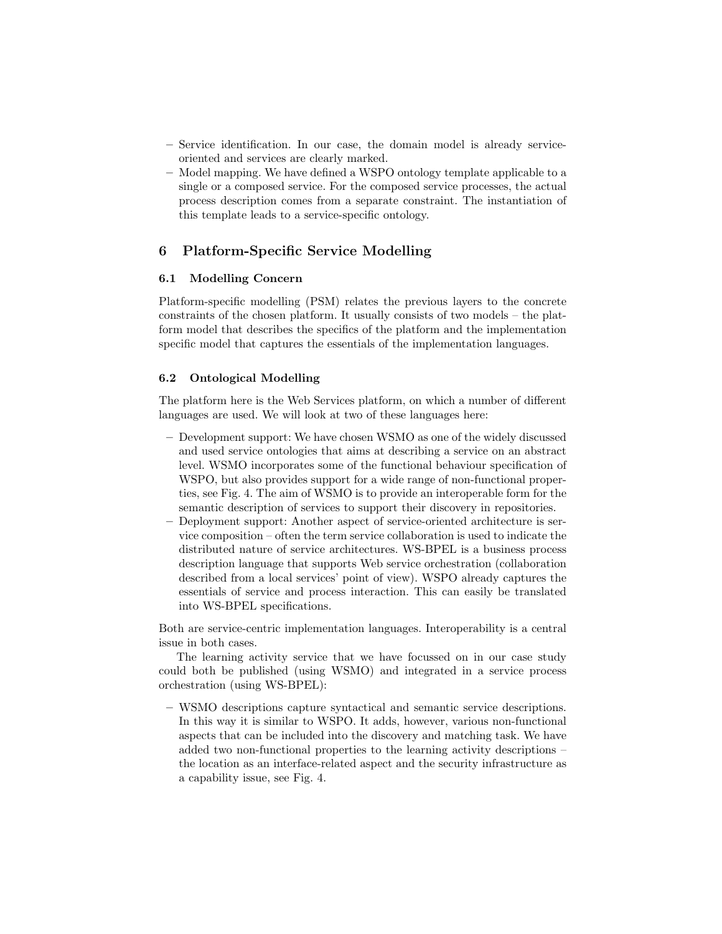- Service identification. In our case, the domain model is already serviceoriented and services are clearly marked.
- Model mapping. We have defined a WSPO ontology template applicable to a single or a composed service. For the composed service processes, the actual process description comes from a separate constraint. The instantiation of this template leads to a service-specific ontology.

## 6 Platform-Specific Service Modelling

#### 6.1 Modelling Concern

Platform-specific modelling (PSM) relates the previous layers to the concrete constraints of the chosen platform. It usually consists of two models – the platform model that describes the specifics of the platform and the implementation specific model that captures the essentials of the implementation languages.

#### 6.2 Ontological Modelling

The platform here is the Web Services platform, on which a number of different languages are used. We will look at two of these languages here:

- Development support: We have chosen WSMO as one of the widely discussed and used service ontologies that aims at describing a service on an abstract level. WSMO incorporates some of the functional behaviour specification of WSPO, but also provides support for a wide range of non-functional properties, see Fig. 4. The aim of WSMO is to provide an interoperable form for the semantic description of services to support their discovery in repositories.
- Deployment support: Another aspect of service-oriented architecture is service composition – often the term service collaboration is used to indicate the distributed nature of service architectures. WS-BPEL is a business process description language that supports Web service orchestration (collaboration described from a local services' point of view). WSPO already captures the essentials of service and process interaction. This can easily be translated into WS-BPEL specifications.

Both are service-centric implementation languages. Interoperability is a central issue in both cases.

The learning activity service that we have focussed on in our case study could both be published (using WSMO) and integrated in a service process orchestration (using WS-BPEL):

– WSMO descriptions capture syntactical and semantic service descriptions. In this way it is similar to WSPO. It adds, however, various non-functional aspects that can be included into the discovery and matching task. We have added two non-functional properties to the learning activity descriptions – the location as an interface-related aspect and the security infrastructure as a capability issue, see Fig. 4.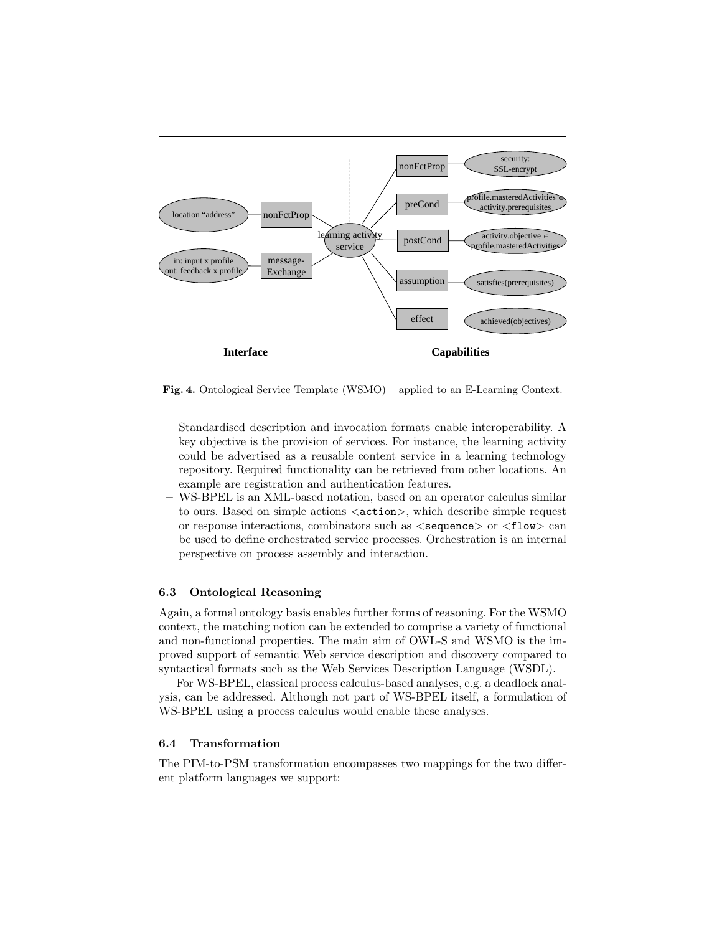

Fig. 4. Ontological Service Template (WSMO) – applied to an E-Learning Context.

Standardised description and invocation formats enable interoperability. A key objective is the provision of services. For instance, the learning activity could be advertised as a reusable content service in a learning technology repository. Required functionality can be retrieved from other locations. An example are registration and authentication features.

– WS-BPEL is an XML-based notation, based on an operator calculus similar to ours. Based on simple actions <action>, which describe simple request or response interactions, combinators such as  $\leq$  sequence $>$  or  $\leq$  flow $>$  can be used to define orchestrated service processes. Orchestration is an internal perspective on process assembly and interaction.

#### 6.3 Ontological Reasoning

Again, a formal ontology basis enables further forms of reasoning. For the WSMO context, the matching notion can be extended to comprise a variety of functional and non-functional properties. The main aim of OWL-S and WSMO is the improved support of semantic Web service description and discovery compared to syntactical formats such as the Web Services Description Language (WSDL).

For WS-BPEL, classical process calculus-based analyses, e.g. a deadlock analysis, can be addressed. Although not part of WS-BPEL itself, a formulation of WS-BPEL using a process calculus would enable these analyses.

#### 6.4 Transformation

The PIM-to-PSM transformation encompasses two mappings for the two different platform languages we support: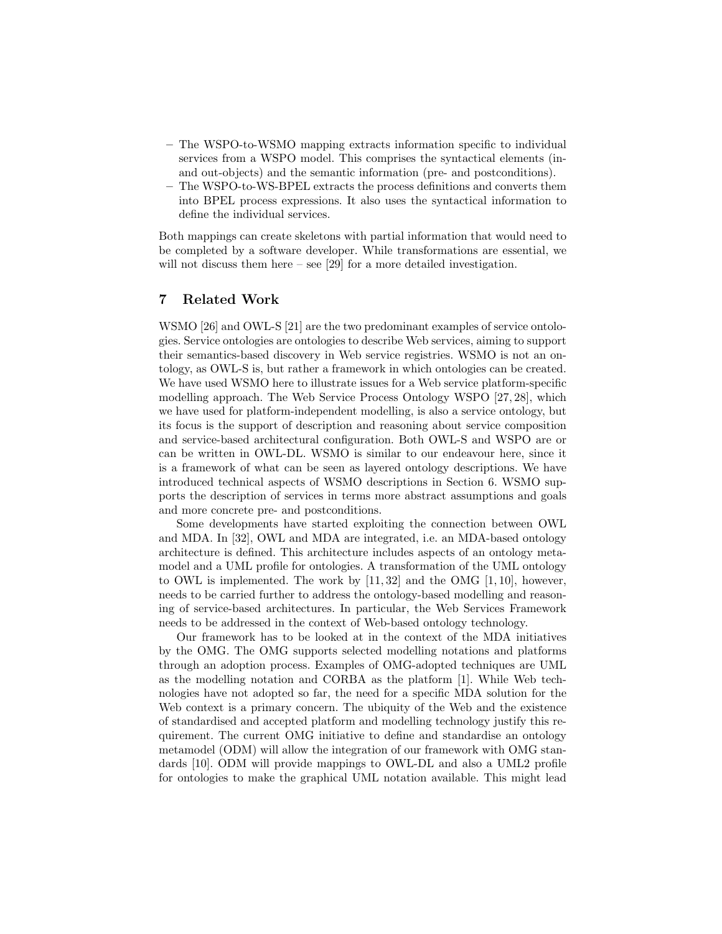- The WSPO-to-WSMO mapping extracts information specific to individual services from a WSPO model. This comprises the syntactical elements (inand out-objects) and the semantic information (pre- and postconditions).
- The WSPO-to-WS-BPEL extracts the process definitions and converts them into BPEL process expressions. It also uses the syntactical information to define the individual services.

Both mappings can create skeletons with partial information that would need to be completed by a software developer. While transformations are essential, we will not discuss them here – see [29] for a more detailed investigation.

## 7 Related Work

WSMO [26] and OWL-S [21] are the two predominant examples of service ontologies. Service ontologies are ontologies to describe Web services, aiming to support their semantics-based discovery in Web service registries. WSMO is not an ontology, as OWL-S is, but rather a framework in which ontologies can be created. We have used WSMO here to illustrate issues for a Web service platform-specific modelling approach. The Web Service Process Ontology WSPO [27, 28], which we have used for platform-independent modelling, is also a service ontology, but its focus is the support of description and reasoning about service composition and service-based architectural configuration. Both OWL-S and WSPO are or can be written in OWL-DL. WSMO is similar to our endeavour here, since it is a framework of what can be seen as layered ontology descriptions. We have introduced technical aspects of WSMO descriptions in Section 6. WSMO supports the description of services in terms more abstract assumptions and goals and more concrete pre- and postconditions.

Some developments have started exploiting the connection between OWL and MDA. In [32], OWL and MDA are integrated, i.e. an MDA-based ontology architecture is defined. This architecture includes aspects of an ontology metamodel and a UML profile for ontologies. A transformation of the UML ontology to OWL is implemented. The work by  $[11, 32]$  and the OMG  $[1, 10]$ , however, needs to be carried further to address the ontology-based modelling and reasoning of service-based architectures. In particular, the Web Services Framework needs to be addressed in the context of Web-based ontology technology.

Our framework has to be looked at in the context of the MDA initiatives by the OMG. The OMG supports selected modelling notations and platforms through an adoption process. Examples of OMG-adopted techniques are UML as the modelling notation and CORBA as the platform [1]. While Web technologies have not adopted so far, the need for a specific MDA solution for the Web context is a primary concern. The ubiquity of the Web and the existence of standardised and accepted platform and modelling technology justify this requirement. The current OMG initiative to define and standardise an ontology metamodel (ODM) will allow the integration of our framework with OMG standards [10]. ODM will provide mappings to OWL-DL and also a UML2 profile for ontologies to make the graphical UML notation available. This might lead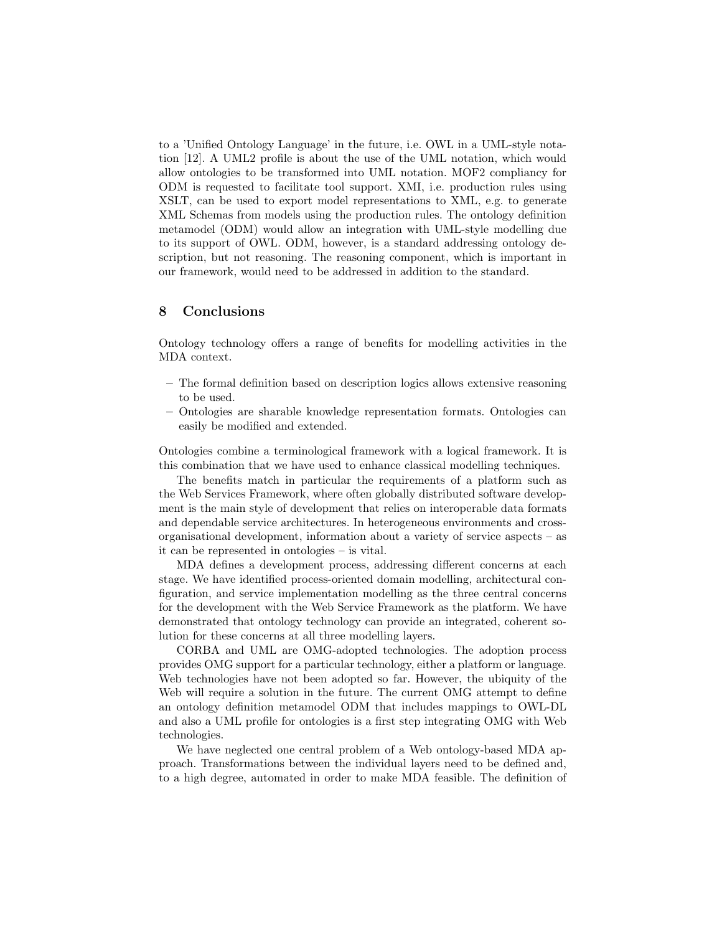to a 'Unified Ontology Language' in the future, i.e. OWL in a UML-style notation [12]. A UML2 profile is about the use of the UML notation, which would allow ontologies to be transformed into UML notation. MOF2 compliancy for ODM is requested to facilitate tool support. XMI, i.e. production rules using XSLT, can be used to export model representations to XML, e.g. to generate XML Schemas from models using the production rules. The ontology definition metamodel (ODM) would allow an integration with UML-style modelling due to its support of OWL. ODM, however, is a standard addressing ontology description, but not reasoning. The reasoning component, which is important in our framework, would need to be addressed in addition to the standard.

## 8 Conclusions

Ontology technology offers a range of benefits for modelling activities in the MDA context.

- The formal definition based on description logics allows extensive reasoning to be used.
- Ontologies are sharable knowledge representation formats. Ontologies can easily be modified and extended.

Ontologies combine a terminological framework with a logical framework. It is this combination that we have used to enhance classical modelling techniques.

The benefits match in particular the requirements of a platform such as the Web Services Framework, where often globally distributed software development is the main style of development that relies on interoperable data formats and dependable service architectures. In heterogeneous environments and crossorganisational development, information about a variety of service aspects – as it can be represented in ontologies – is vital.

MDA defines a development process, addressing different concerns at each stage. We have identified process-oriented domain modelling, architectural configuration, and service implementation modelling as the three central concerns for the development with the Web Service Framework as the platform. We have demonstrated that ontology technology can provide an integrated, coherent solution for these concerns at all three modelling layers.

CORBA and UML are OMG-adopted technologies. The adoption process provides OMG support for a particular technology, either a platform or language. Web technologies have not been adopted so far. However, the ubiquity of the Web will require a solution in the future. The current OMG attempt to define an ontology definition metamodel ODM that includes mappings to OWL-DL and also a UML profile for ontologies is a first step integrating OMG with Web technologies.

We have neglected one central problem of a Web ontology-based MDA approach. Transformations between the individual layers need to be defined and, to a high degree, automated in order to make MDA feasible. The definition of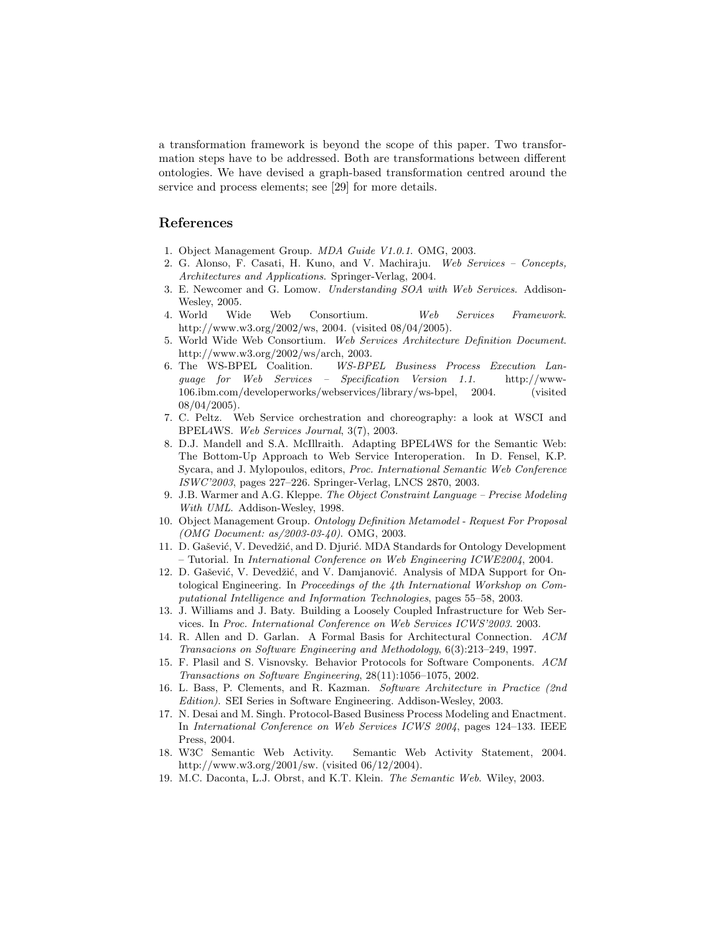a transformation framework is beyond the scope of this paper. Two transformation steps have to be addressed. Both are transformations between different ontologies. We have devised a graph-based transformation centred around the service and process elements; see [29] for more details.

#### References

- 1. Object Management Group. MDA Guide V1.0.1. OMG, 2003.
- 2. G. Alonso, F. Casati, H. Kuno, and V. Machiraju. Web Services Concepts, Architectures and Applications. Springer-Verlag, 2004.
- 3. E. Newcomer and G. Lomow. Understanding SOA with Web Services. Addison-Wesley, 2005.
- 4. World Wide Web Consortium. Web Services Framework. http://www.w3.org/2002/ws, 2004. (visited 08/04/2005).
- 5. World Wide Web Consortium. Web Services Architecture Definition Document. http://www.w3.org/2002/ws/arch, 2003.
- 6. The WS-BPEL Coalition. WS-BPEL Business Process Execution Language for Web Services – Specification Version 1.1. http://www-106.ibm.com/developerworks/webservices/library/ws-bpel, 2004. (visited 08/04/2005).
- 7. C. Peltz. Web Service orchestration and choreography: a look at WSCI and BPEL4WS. Web Services Journal, 3(7), 2003.
- 8. D.J. Mandell and S.A. McIllraith. Adapting BPEL4WS for the Semantic Web: The Bottom-Up Approach to Web Service Interoperation. In D. Fensel, K.P. Sycara, and J. Mylopoulos, editors, Proc. International Semantic Web Conference ISWC'2003, pages 227–226. Springer-Verlag, LNCS 2870, 2003.
- 9. J.B. Warmer and A.G. Kleppe. The Object Constraint Language Precise Modeling With UML. Addison-Wesley, 1998.
- 10. Object Management Group. Ontology Definition Metamodel Request For Proposal (OMG Document: as/2003-03-40). OMG, 2003.
- 11. D. Gašević, V. Devedžić, and D. Djurić. MDA Standards for Ontology Development – Tutorial. In International Conference on Web Engineering ICWE2004, 2004.
- 12. D. Gašević, V. Devedžić, and V. Damjanović. Analysis of MDA Support for Ontological Engineering. In Proceedings of the 4th International Workshop on Computational Intelligence and Information Technologies, pages 55–58, 2003.
- 13. J. Williams and J. Baty. Building a Loosely Coupled Infrastructure for Web Services. In Proc. International Conference on Web Services ICWS'2003. 2003.
- 14. R. Allen and D. Garlan. A Formal Basis for Architectural Connection. ACM Transacions on Software Engineering and Methodology, 6(3):213–249, 1997.
- 15. F. Plasil and S. Visnovsky. Behavior Protocols for Software Components. ACM Transactions on Software Engineering, 28(11):1056–1075, 2002.
- 16. L. Bass, P. Clements, and R. Kazman. Software Architecture in Practice (2nd Edition). SEI Series in Software Engineering. Addison-Wesley, 2003.
- 17. N. Desai and M. Singh. Protocol-Based Business Process Modeling and Enactment. In International Conference on Web Services ICWS 2004, pages 124–133. IEEE Press, 2004.
- 18. W3C Semantic Web Activity. Semantic Web Activity Statement, 2004. http://www.w3.org/2001/sw. (visited 06/12/2004).
- 19. M.C. Daconta, L.J. Obrst, and K.T. Klein. The Semantic Web. Wiley, 2003.